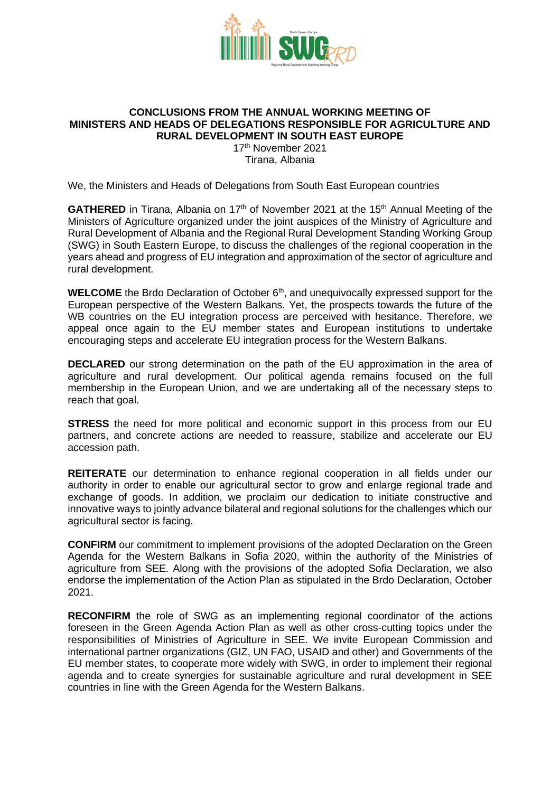

#### **CONCLUSIONS FROM THE ANNUAL WORKING MEETING OF MINISTERS AND HEADS OF DELEGATIONS RESPONSIBLE FOR AGRICULTURE AND RURAL DEVELOPMENT IN SOUTH EAST EUROPE**

17 th November 2021 Tirana, Albania

We, the Ministers and Heads of Delegations from South East European countries

**GATHERED** in Tirana, Albania on 17<sup>th</sup> of November 2021 at the 15<sup>th</sup> Annual Meeting of the Ministers of Agriculture organized under the joint auspices of the Ministry of Agriculture and Rural Development of Albania and the Regional Rural Development Standing Working Group (SWG) in South Eastern Europe, to discuss the challenges of the regional cooperation in the years ahead and progress of EU integration and approximation of the sector of agriculture and rural development.

**WELCOME** the Brdo Declaration of October 6<sup>th</sup>, and unequivocally expressed support for the European perspective of the Western Balkans. Yet, the prospects towards the future of the WB countries on the EU integration process are perceived with hesitance. Therefore, we appeal once again to the EU member states and European institutions to undertake encouraging steps and accelerate EU integration process for the Western Balkans.

**DECLARED** our strong determination on the path of the EU approximation in the area of agriculture and rural development. Our political agenda remains focused on the full membership in the European Union, and we are undertaking all of the necessary steps to reach that goal.

**STRESS** the need for more political and economic support in this process from our EU partners, and concrete actions are needed to reassure, stabilize and accelerate our EU accession path.

**REITERATE** our determination to enhance regional cooperation in all fields under our authority in order to enable our agricultural sector to grow and enlarge regional trade and exchange of goods. In addition, we proclaim our dedication to initiate constructive and innovative ways to jointly advance bilateral and regional solutions for the challenges which our agricultural sector is facing.

**CONFIRM** our commitment to implement provisions of the adopted Declaration on the Green Agenda for the Western Balkans in Sofia 2020, within the authority of the Ministries of agriculture from SEE. Along with the provisions of the adopted Sofia Declaration, we also endorse the implementation of the Action Plan as stipulated in the Brdo Declaration, October 2021.

**RECONFIRM** the role of SWG as an implementing regional coordinator of the actions foreseen in the Green Agenda Action Plan as well as other cross-cutting topics under the responsibilities of Ministries of Agriculture in SEE. We invite European Commission and international partner organizations (GIZ, UN FAO, USAID and other) and Governments of the EU member states, to cooperate more widely with SWG, in order to implement their regional agenda and to create synergies for sustainable agriculture and rural development in SEE countries in line with the Green Agenda for the Western Balkans.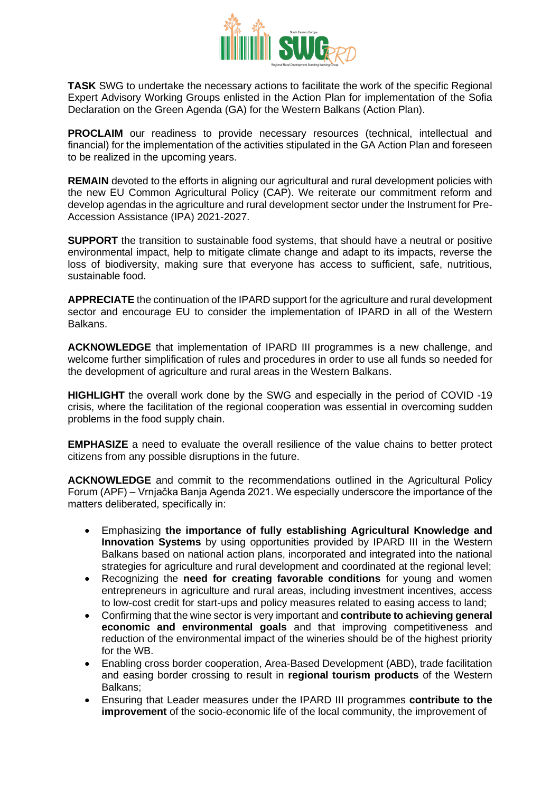

**TASK** SWG to undertake the necessary actions to facilitate the work of the specific Regional Expert Advisory Working Groups enlisted in the Action Plan for implementation of the Sofia Declaration on the Green Agenda (GA) for the Western Balkans (Action Plan).

**PROCLAIM** our readiness to provide necessary resources (technical, intellectual and financial) for the implementation of the activities stipulated in the GA Action Plan and foreseen to be realized in the upcoming years.

**REMAIN** devoted to the efforts in aligning our agricultural and rural development policies with the new EU Common Agricultural Policy (CAP). We reiterate our commitment reform and develop agendas in the agriculture and rural development sector under the Instrument for Pre-Accession Assistance (IPA) 2021-2027.

**SUPPORT** the transition to sustainable food systems, that should have a neutral or positive environmental impact, help to mitigate climate change and adapt to its impacts, reverse the loss of biodiversity, making sure that everyone has access to sufficient, safe, nutritious, sustainable food.

**APPRECIATE** the continuation of the IPARD support for the agriculture and rural development sector and encourage EU to consider the implementation of IPARD in all of the Western Balkans.

**ACKNOWLEDGE** that implementation of IPARD III programmes is a new challenge, and welcome further simplification of rules and procedures in order to use all funds so needed for the development of agriculture and rural areas in the Western Balkans.

**HIGHLIGHT** the overall work done by the SWG and especially in the period of COVID -19 crisis, where the facilitation of the regional cooperation was essential in overcoming sudden problems in the food supply chain.

**EMPHASIZE** a need to evaluate the overall resilience of the value chains to better protect citizens from any possible disruptions in the future.

**ACKNOWLEDGE** and commit to the recommendations outlined in the Agricultural Policy Forum (APF) – Vrnjačka Banja Agenda 2021. We especially underscore the importance of the matters deliberated, specifically in:

- Emphasizing **the importance of fully establishing Agricultural Knowledge and Innovation Systems** by using opportunities provided by IPARD III in the Western Balkans based on national action plans, incorporated and integrated into the national strategies for agriculture and rural development and coordinated at the regional level;
- Recognizing the **need for creating favorable conditions** for young and women entrepreneurs in agriculture and rural areas, including investment incentives, access to low-cost credit for start-ups and policy measures related to easing access to land;
- Confirming that the wine sector is very important and **contribute to achieving general economic and environmental goals** and that improving competitiveness and reduction of the environmental impact of the wineries should be of the highest priority for the WB.
- Enabling cross border cooperation, Area-Based Development (ABD), trade facilitation and easing border crossing to result in **regional tourism products** of the Western Balkans;
- Ensuring that Leader measures under the IPARD III programmes **contribute to the improvement** of the socio-economic life of the local community, the improvement of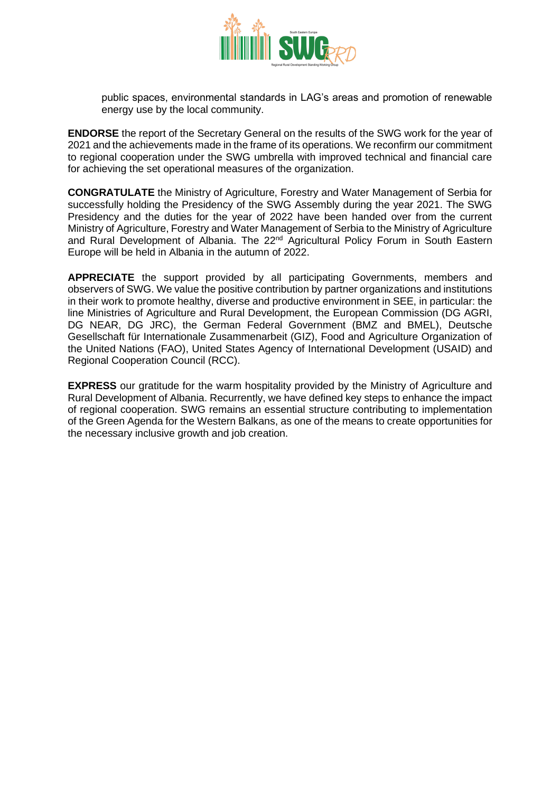

public spaces, environmental standards in LAG's areas and promotion of renewable energy use by the local community.

**ENDORSE** the report of the Secretary General on the results of the SWG work for the year of 2021 and the achievements made in the frame of its operations. We reconfirm our commitment to regional cooperation under the SWG umbrella with improved technical and financial care for achieving the set operational measures of the organization.

**CONGRATULATE** the Ministry of Agriculture, Forestry and Water Management of Serbia for successfully holding the Presidency of the SWG Assembly during the year 2021. The SWG Presidency and the duties for the year of 2022 have been handed over from the current Ministry of Agriculture, Forestry and Water Management of Serbia to the Ministry of Agriculture and Rural Development of Albania. The  $22<sup>nd</sup>$  Agricultural Policy Forum in South Eastern Europe will be held in Albania in the autumn of 2022.

**APPRECIATE** the support provided by all participating Governments, members and observers of SWG. We value the positive contribution by partner organizations and institutions in their work to promote healthy, diverse and productive environment in SEE, in particular: the line Ministries of Agriculture and Rural Development, the European Commission (DG AGRI, DG NEAR, DG JRC), the German Federal Government (BMZ and BMEL), Deutsche Gesellschaft für Internationale Zusammenarbeit (GIZ), Food and Agriculture Organization of the United Nations (FAO), United States Agency of International Development (USAID) and Regional Cooperation Council (RCC).

**EXPRESS** our gratitude for the warm hospitality provided by the Ministry of Agriculture and Rural Development of Albania. Recurrently, we have defined key steps to enhance the impact of regional cooperation. SWG remains an essential structure contributing to implementation of the Green Agenda for the Western Balkans, as one of the means to create opportunities for the necessary inclusive growth and job creation.